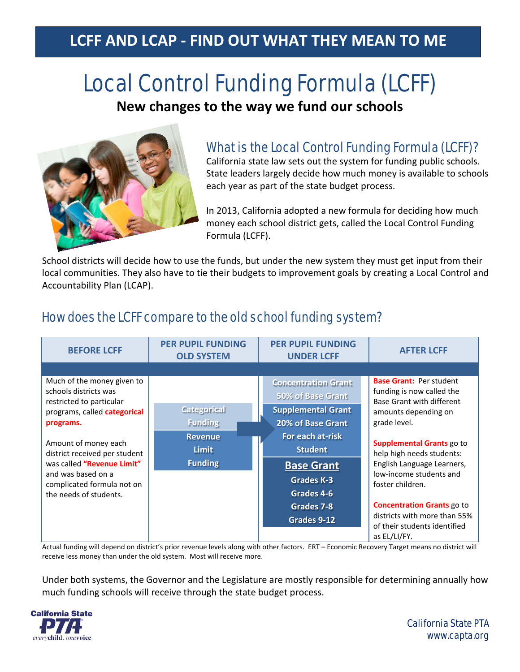## **LCFF AND LCAP - FIND OUT WHAT THEY MEAN TO ME**

# Local Control Funding Formula (LCFF)

**New changes to the way we fund our schools**



#### What is the Local Control Funding Formula (LCFF)?

California state law sets out the system for funding public schools. State leaders largely decide how much money is available to schools each year as part of the state budget process.

In 2013, California adopted a new formula for deciding how much money each school district gets, called the Local Control Funding Formula (LCFF).

School districts will decide how to use the funds, but under the new system they must get input from their local communities. They also have to tie their budgets to improvement goals by creating a Local Control and Accountability Plan (LCAP).

#### How does the LCFF compare to the old school funding system?

| <b>BEFORE LCFF</b>                                                                                                                                                | <b>PER PUPIL FUNDING</b><br><b>OLD SYSTEM</b>    | <b>PER PUPIL FUNDING</b><br><b>UNDER LCFF</b>                                                     | <b>AFTER LCFF</b>                                                                                                                       |
|-------------------------------------------------------------------------------------------------------------------------------------------------------------------|--------------------------------------------------|---------------------------------------------------------------------------------------------------|-----------------------------------------------------------------------------------------------------------------------------------------|
|                                                                                                                                                                   |                                                  |                                                                                                   |                                                                                                                                         |
| Much of the money given to<br>schools districts was<br>restricted to particular<br>programs, called categorical<br>programs.                                      | <b>Categorical</b><br><b>Funding</b>             | <b>Concentration Grant</b><br>50% of Base Grant<br><b>Supplemental Grant</b><br>20% of Base Grant | <b>Base Grant: Per student</b><br>funding is now called the<br><b>Base Grant with different</b><br>amounts depending on<br>grade level. |
| Amount of money each<br>district received per student<br>was called "Revenue Limit"<br>and was based on a<br>complicated formula not on<br>the needs of students. | <b>Revenue</b><br><b>Limit</b><br><b>Funding</b> | For each at-risk<br><b>Student</b><br><b>Base Grant</b><br><b>Grades K-3</b><br>Grades 4-6        | Supplemental Grants go to<br>help high needs students:<br>English Language Learners,<br>low-income students and<br>foster children.     |
|                                                                                                                                                                   |                                                  | Grades 7-8<br>Grades 9-12                                                                         | <b>Concentration Grants</b> go to<br>districts with more than 55%<br>of their students identified<br>as EL/LI/FY.                       |

Actual funding will depend on district's prior revenue levels along with other factors. ERT – Economic Recovery Target means no district will receive less money than under the old system. Most will receive more.

Under both systems, the Governor and the Legislature are mostly responsible for determining annually how much funding schools will receive through the state budget process.



California State PTA www.capta.org